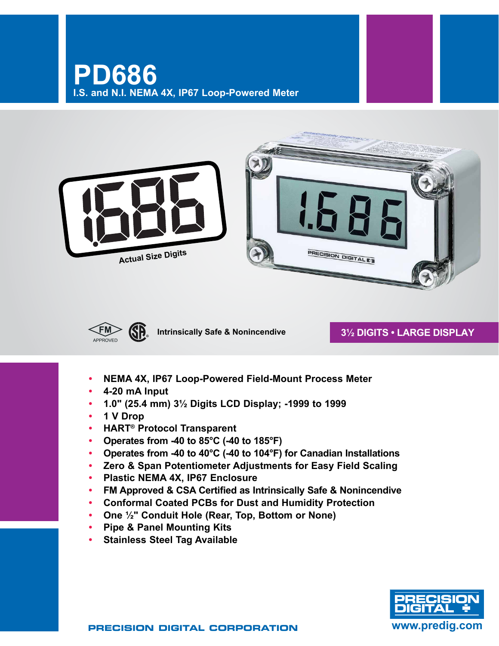





**Intrinsically Safe & Nonincendive**

# **3½ Digits • LARGE DISPLAY**

- **• NEMA 4X, IP67 Loop-Powered Field-Mount Process Meter**
- **• 4-20 mA Input**
- **• 1.0" (25.4 mm) 3½ Digits LCD Display; -1999 to 1999**
- **• 1 V Drop**
- **• HART® Protocol Transparent**
- **• Operates from -40 to 85°C (-40 to 185°F)**
- **• Operates from -40 to 40°C (-40 to 104°F) for Canadian Installations**
- **• Zero & Span Potentiometer Adjustments for Easy Field Scaling**
- **• Plastic NEMA 4X, IP67 Enclosure**
- **• FM Approved & CSA Certified as Intrinsically Safe & Nonincendive**
- **• Conformal Coated PCBs for Dust and Humidity Protection**
- **• One ½" Conduit Hole (Rear, Top, Bottom or None)**
- **• Pipe & Panel Mounting Kits**
- **• Stainless Steel Tag Available**

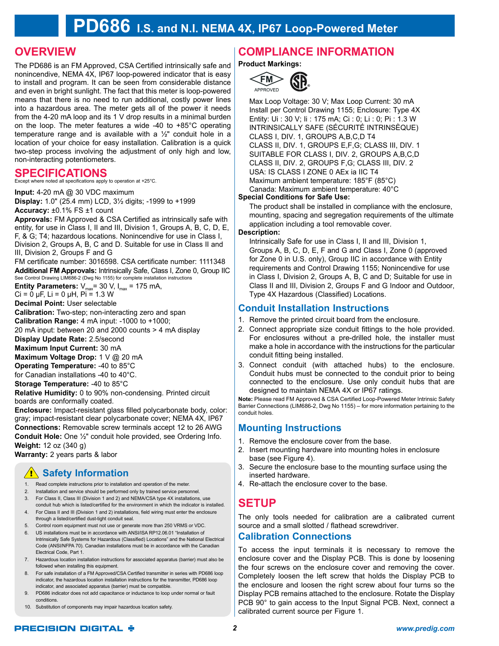# **PD686 I.S. and N.I. NEMA 4X, IP67 Loop-Powered Meter**

# **OVERVIEW**

The PD686 is an FM Approved, CSA Certified intrinsically safe and nonincendive, NEMA 4X, IP67 loop-powered indicator that is easy to install and program. It can be seen from considerable distance and even in bright sunlight. The fact that this meter is loop-powered means that there is no need to run additional, costly power lines into a hazardous area. The meter gets all of the power it needs from the 4-20 mA loop and its 1 V drop results in a minimal burden on the loop. The meter features a wide -40 to +85°C operating temperature range and is available with a  $\frac{1}{2}$ " conduit hole in a location of your choice for easy installation. Calibration is a quick two-step process involving the adjustment of only high and low, non-interacting potentiometers.

# **Specifications**

Except where noted all specifications apply to operation at +25°C.

**Input:** 4-20 mA @ 30 VDC maximum **Display:** 1.0" (25.4 mm) LCD, 3½ digits; -1999 to +1999 **Accuracy:** ±0.1% FS ±1 count

**Approvals:** FM Approved & CSA Certified as intrinsically safe with entity, for use in Class I, II and III, Division 1, Groups A, B, C, D, E, F, & G; T4; hazardous locations. Nonincendive for use in Class I, Division 2, Groups A, B, C and D. Suitable for use in Class II and III, Division 2, Groups F and G

FM certificate number: 3016598. CSA certificate number: 1111348 **Additional FM Approvals:** Intrinsically Safe, Class I, Zone 0, Group IIC See Control Drawing LIM686-2 (Dwg No 1155) for complete installation instructions

**Entity Parameters:**  $V_{\text{max}}$  = 30 V,  $I_{\text{max}}$  = 175 mA,

 $Ci = 0 \mu F$ , Li = 0  $\mu H$ , Pi = 1.3 W

**Decimal Point:** User selectable

**Calibration:** Two-step; non-interacting zero and span

**Calibration Range:** 4 mA input: -1000 to +1000;

20 mA input: between 20 and 2000 counts > 4 mA display

**Display Update Rate:** 2.5/second

**Maximum Input Current:** 30 mA

**Maximum Voltage Drop:** 1 V @ 20 mA

**Operating Temperature:** -40 to 85°C for Canadian installations -40 to 40°C.

**Storage Temperature:** -40 to 85°C

**Relative Humidity:** 0 to 90% non-condensing. Printed circuit boards are conformally coated.

**Enclosure:** Impact-resistant glass filled polycarbonate body, color: gray; impact-resistant clear polycarbonate cover; NEMA 4X, IP67 **Connections:** Removable screw terminals accept 12 to 26 AWG **Conduit Hole:** One ½" conduit hole provided, see Ordering Info. **Weight:** 12 oz (340 g)

**Warranty:** 2 years parts & labor

# **1 Safety Information**

- 1. Read complete instructions prior to installation and operation of the meter.
- 2. Installation and service should be performed only by trained service personnel.
- 3. For Class II, Class III (Division 1 and 2) and NEMA/CSA type 4X installations, use conduit hub which is listed/certified for the environment in which the indicator is installed.
- 4. For Class II and III (Division 1 and 2) installations, field wiring must enter the enclosure through a listed/certified dust-tight conduit seal.
- 5. Control room equipment must not use or generate more than 250 VRMS or VDC.
- 6. US installations must be in accordance with ANSI/ISA RP12.06.01 "Installation of Intrinsically Safe Systems for Hazardous (Classified) Locations" and the National Electrical Code (ANSI/NFPA 70). Canadian installations must be in accordance with the Canadian Electrical Code, Part 1.
- 7. Hazardous location installation instructions for associated apparatus (barrier) must also be followed when installing this equipment.
- 8. For safe installation of a FM Approved/CSA Certified transmitter in series with PD686 loop indicator, the hazardous location installation instructions for the transmitter, PD686 loop indicator, and associated apparatus (barrier) must be compatible.
- 9. PD686 indicator does not add capacitance or inductance to loop under normal or fault conditions.
- 10. Substitution of components may impair hazardous location safety

# **Compliance Information**

**Product Markings:**



Max Loop Voltage: 30 V; Max Loop Current: 30 mA Install per Control Drawing 1155; Enclosure: Type 4X Entity: Ui : 30 V; Ii : 175 mA; Ci : 0; Li : 0; Pi : 1.3 W INTRINSICALLY SAFE (SÉCURITÉ INTRINSÈQUE) CLASS I, DIV. 1, GROUPS A,B,C,D T4 CLASS II, DIV. 1, GROUPS E,F,G; CLASS III, DIV. 1 SUITABLE FOR CLASS I, DIV. 2, GROUPS A,B,C,D CLASS II, DIV. 2, GROUPS F,G; CLASS III, DIV. 2 USA: IS CLASS I ZONE 0 AEx ia IIC T4 Maximum ambient temperature: 185°F (85°C) Canada: Maximum ambient temperature: 40°C

## **Special Conditions for Safe Use:**

The product shall be installed in compliance with the enclosure, mounting, spacing and segregation requirements of the ultimate application including a tool removable cover.

## **Description:**

Intrinsically Safe for use in Class I, II and III, Division 1, Groups A, B, C, D, E, F and G and Class I, Zone 0 (approved for Zone 0 in U.S. only), Group IIC in accordance with Entity requirements and Control Drawing 1155; Nonincendive for use in Class I, Division 2, Groups A, B, C and D; Suitable for use in Class II and III, Division 2, Groups F and G Indoor and Outdoor, Type 4X Hazardous (Classified) Locations.

# **Conduit Installation Instructions**

- 1. Remove the printed circuit board from the enclosure.
- 2. Connect appropriate size conduit fittings to the hole provided. For enclosures without a pre-drilled hole, the installer must make a hole in accordance with the instructions for the particular conduit fitting being installed.
- 3. Connect conduit (with attached hubs) to the enclosure. Conduit hubs must be connected to the conduit prior to being connected to the enclosure. Use only conduit hubs that are designed to maintain NEMA 4X or IP67 ratings.

**Note:** Please read FM Approved & CSA Certified Loop-Powered Meter Intrinsic Safety Barrier Connections (LIM686-2, Dwg No 1155) – for more information pertaining to the conduit holes.

# **Mounting Instructions**

- 1. Remove the enclosure cover from the base.
- 2. Insert mounting hardware into mounting holes in enclosure base (see Figure 4).
- 3. Secure the enclosure base to the mounting surface using the inserted hardware.
- 4. Re-attach the enclosure cover to the base.

# **Setup**

The only tools needed for calibration are a calibrated current source and a small slotted / flathead screwdriver.

# **Calibration Connections**

To access the input terminals it is necessary to remove the enclosure cover and the Display PCB. This is done by loosening the four screws on the enclosure cover and removing the cover. Completely loosen the left screw that holds the Display PCB to the enclosure and loosen the right screw about four turns so the Display PCB remains attached to the enclosure. Rotate the Display PCB 90° to gain access to the Input Signal PCB. Next, connect a calibrated current source per Figure 1.

# **PRECISION DIGITAL &**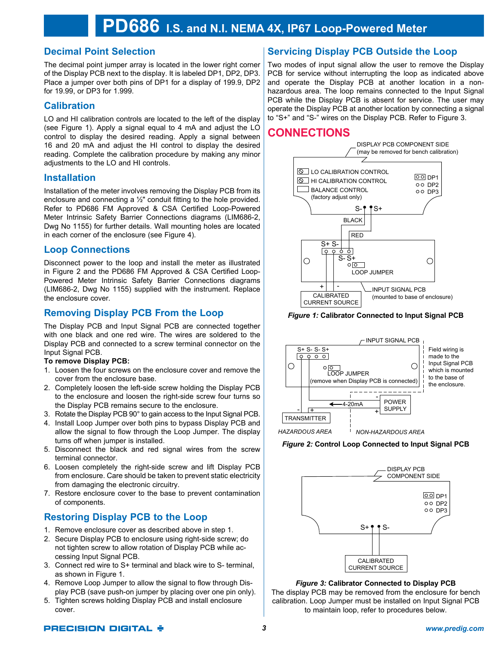# **Decimal Point Selection**

The decimal point jumper array is located in the lower right corner of the Display PCB next to the display. It is labeled DP1, DP2, DP3. Place a jumper over both pins of DP1 for a display of 199.9, DP2 for 19.99, or DP3 for 1.999.

## **Calibration**

LO and HI calibration controls are located to the left of the display (see Figure 1). Apply a signal equal to 4 mA and adjust the LO control to display the desired reading. Apply a signal between 16 and 20 mA and adjust the HI control to display the desired reading. Complete the calibration procedure by making any minor adjustments to the LO and HI controls.

## **Installation**

Installation of the meter involves removing the Display PCB from its enclosure and connecting a ½" conduit fitting to the hole provided. Refer to PD686 FM Approved & CSA Certified Loop-Powered Meter Intrinsic Safety Barrier Connections diagrams (LIM686-2, Dwg No 1155) for further details. Wall mounting holes are located in each corner of the enclosure (see Figure 4).

## **Loop Connections**

Disconnect power to the loop and install the meter as illustrated in Figure 2 and the PD686 FM Approved & CSA Certified Loop-Powered Meter Intrinsic Safety Barrier Connections diagrams (LIM686-2, Dwg No 1155) supplied with the instrument. Replace the enclosure cover.

# **Removing Display PCB From the Loop**

The Display PCB and Input Signal PCB are connected together with one black and one red wire. The wires are soldered to the Display PCB and connected to a screw terminal connector on the Input Signal PCB.

## **To remove Display PCB:**

- 1. Loosen the four screws on the enclosure cover and remove the cover from the enclosure base.
- 2. Completely loosen the left-side screw holding the Display PCB to the enclosure and loosen the right-side screw four turns so the Display PCB remains secure to the enclosure.
- 3. Rotate the Display PCB 90° to gain access to the Input Signal PCB.
- 4. Install Loop Jumper over both pins to bypass Display PCB and allow the signal to flow through the Loop Jumper. The display turns off when jumper is installed.
- 5. Disconnect the black and red signal wires from the screw terminal connector.
- 6. Loosen completely the right-side screw and lift Display PCB from enclosure. Care should be taken to prevent static electricity from damaging the electronic circuitry.
- 7. Restore enclosure cover to the base to prevent contamination of components.

# **Restoring Display PCB to the Loop**

- 1. Remove enclosure cover as described above in step 1.
- 2. Secure Display PCB to enclosure using right-side screw; do not tighten screw to allow rotation of Display PCB while accessing Input Signal PCB.
- 3. Connect red wire to S+ terminal and black wire to S- terminal, as shown in Figure 1.
- 4. Remove Loop Jumper to allow the signal to flow through Display PCB (save push-on jumper by placing over one pin only).
- 5. Tighten screws holding Display PCB and install enclosure cover.

# **Servicing Display PCB Outside the Loop**

Two modes of input signal allow the user to remove the Display PCB for service without interrupting the loop as indicated above and operate the Display PCB at another location in a nonhazardous area. The loop remains connected to the Input Signal PCB while the Display PCB is absent for service. The user may operate the Display PCB at another location by connecting a signal to "S+" and "S-" wires on the Display PCB. Refer to Figure 3.

# **CONNECTIONS**



*Figure 1:* **Calibrator Connected to Input Signal PCB**



## *Figure 2:* **Control Loop Connected to Input Signal PCB**



Figure 3: Calibrator Connected to Display PCB

The display PCB may be removed from the enclosure for bench rne display to B may be followed non the cholocal of behome calibration. Loop Jumper must be installed on Input Signal PCB to maintain loop, refer to procedures below. per must be instance

## **PRECISION DIGITAL +**